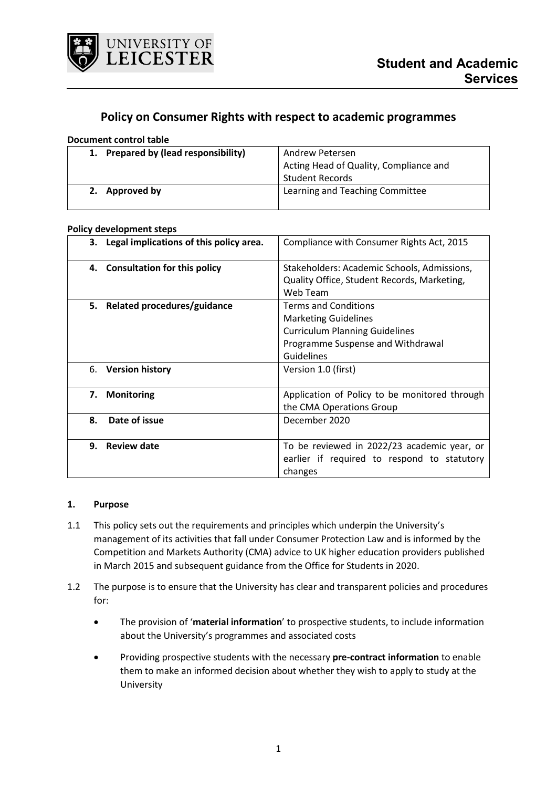

# **Policy on Consumer Rights with respect to academic programmes**

#### **Document control table**

| 1. Prepared by (lead responsibility) | Andrew Petersen                        |
|--------------------------------------|----------------------------------------|
|                                      | Acting Head of Quality, Compliance and |
|                                      | <b>Student Records</b>                 |
| Approved by<br>2.                    | Learning and Teaching Committee        |
|                                      |                                        |

#### **Policy development steps**

| 3. Legal implications of this policy area. | Compliance with Consumer Rights Act, 2015     |
|--------------------------------------------|-----------------------------------------------|
|                                            |                                               |
| 4. Consultation for this policy            | Stakeholders: Academic Schools, Admissions,   |
|                                            | Quality Office, Student Records, Marketing,   |
|                                            | Web Team                                      |
| 5. Related procedures/guidance             | <b>Terms and Conditions</b>                   |
|                                            | <b>Marketing Guidelines</b>                   |
|                                            | <b>Curriculum Planning Guidelines</b>         |
|                                            | Programme Suspense and Withdrawal             |
|                                            | Guidelines                                    |
| <b>Version history</b><br>6.               | Version 1.0 (first)                           |
|                                            |                                               |
| <b>Monitoring</b><br>7.                    | Application of Policy to be monitored through |
|                                            | the CMA Operations Group                      |
| 8.<br>Date of issue                        | December 2020                                 |
|                                            |                                               |
| <b>Review date</b><br>9.                   | To be reviewed in 2022/23 academic year, or   |
|                                            | earlier if required to respond to statutory   |
|                                            | changes                                       |

#### **1. Purpose**

- 1.1 This policy sets out the requirements and principles which underpin the University's management of its activities that fall under Consumer Protection Law and is informed by the Competition and Markets Authority (CMA) advice to UK higher education providers published in March 2015 and subsequent guidance from the Office for Students in 2020.
- 1.2 The purpose is to ensure that the University has clear and transparent policies and procedures for:
	- The provision of '**material information**' to prospective students, to include information about the University's programmes and associated costs
	- Providing prospective students with the necessary **pre-contract information** to enable them to make an informed decision about whether they wish to apply to study at the University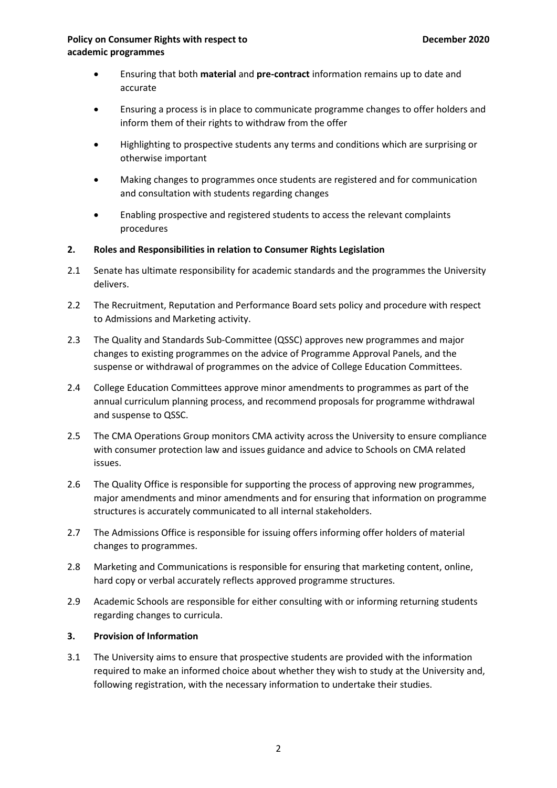- Ensuring that both **material** and **pre-contract** information remains up to date and accurate
- Ensuring a process is in place to communicate programme changes to offer holders and inform them of their rights to withdraw from the offer
- Highlighting to prospective students any terms and conditions which are surprising or otherwise important
- Making changes to programmes once students are registered and for communication and consultation with students regarding changes
- Enabling prospective and registered students to access the relevant complaints procedures
- **2. Roles and Responsibilities in relation to Consumer Rights Legislation**
- 2.1 Senate has ultimate responsibility for academic standards and the programmes the University delivers.
- 2.2 The Recruitment, Reputation and Performance Board sets policy and procedure with respect to Admissions and Marketing activity.
- 2.3 The Quality and Standards Sub-Committee (QSSC) approves new programmes and major changes to existing programmes on the advice of Programme Approval Panels, and the suspense or withdrawal of programmes on the advice of College Education Committees.
- 2.4 College Education Committees approve minor amendments to programmes as part of the annual curriculum planning process, and recommend proposals for programme withdrawal and suspense to QSSC.
- 2.5 The CMA Operations Group monitors CMA activity across the University to ensure compliance with consumer protection law and issues guidance and advice to Schools on CMA related issues.
- 2.6 The Quality Office is responsible for supporting the process of approving new programmes, major amendments and minor amendments and for ensuring that information on programme structures is accurately communicated to all internal stakeholders.
- 2.7 The Admissions Office is responsible for issuing offers informing offer holders of material changes to programmes.
- 2.8 Marketing and Communications is responsible for ensuring that marketing content, online, hard copy or verbal accurately reflects approved programme structures.
- 2.9 Academic Schools are responsible for either consulting with or informing returning students regarding changes to curricula.

# **3. Provision of Information**

3.1 The University aims to ensure that prospective students are provided with the information required to make an informed choice about whether they wish to study at the University and, following registration, with the necessary information to undertake their studies.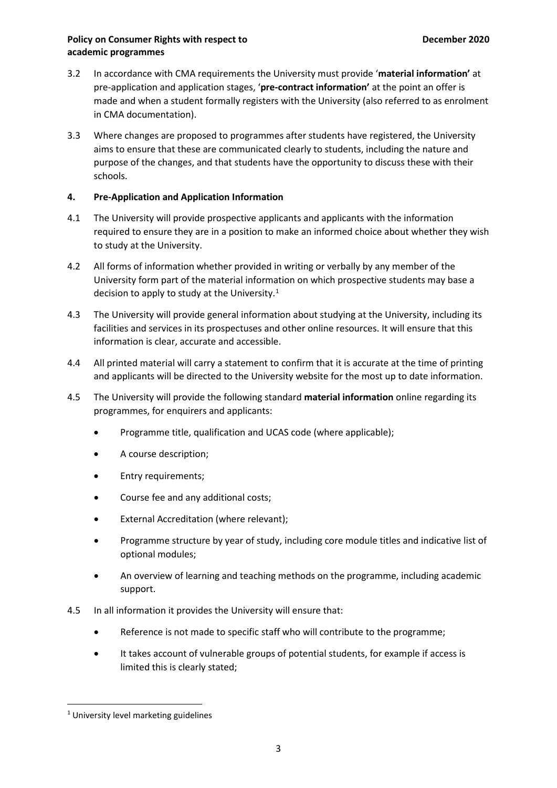- 3.2 In accordance with CMA requirements the University must provide '**material information'** at pre-application and application stages, '**pre-contract information'** at the point an offer is made and when a student formally registers with the University (also referred to as enrolment in CMA documentation).
- 3.3 Where changes are proposed to programmes after students have registered, the University aims to ensure that these are communicated clearly to students, including the nature and purpose of the changes, and that students have the opportunity to discuss these with their schools.

# **4. Pre-Application and Application Information**

- 4.1 The University will provide prospective applicants and applicants with the information required to ensure they are in a position to make an informed choice about whether they wish to study at the University.
- 4.2 All forms of information whether provided in writing or verbally by any member of the University form part of the material information on which prospective students may base a decision to apply to study at the University. $1$
- 4.3 The University will provide general information about studying at the University, including its facilities and services in its prospectuses and other online resources. It will ensure that this information is clear, accurate and accessible.
- 4.4 All printed material will carry a statement to confirm that it is accurate at the time of printing and applicants will be directed to the University website for the most up to date information.
- 4.5 The University will provide the following standard **material information** online regarding its programmes, for enquirers and applicants:
	- Programme title, qualification and UCAS code (where applicable);
	- A course description;
	- Entry requirements;
	- Course fee and any additional costs;
	- External Accreditation (where relevant);
	- Programme structure by year of study, including core module titles and indicative list of optional modules;
	- An overview of learning and teaching methods on the programme, including academic support.
- 4.5 In all information it provides the University will ensure that:
	- Reference is not made to specific staff who will contribute to the programme;
	- It takes account of vulnerable groups of potential students, for example if access is limited this is clearly stated;

<span id="page-2-0"></span> <sup>1</sup> University level marketing guidelines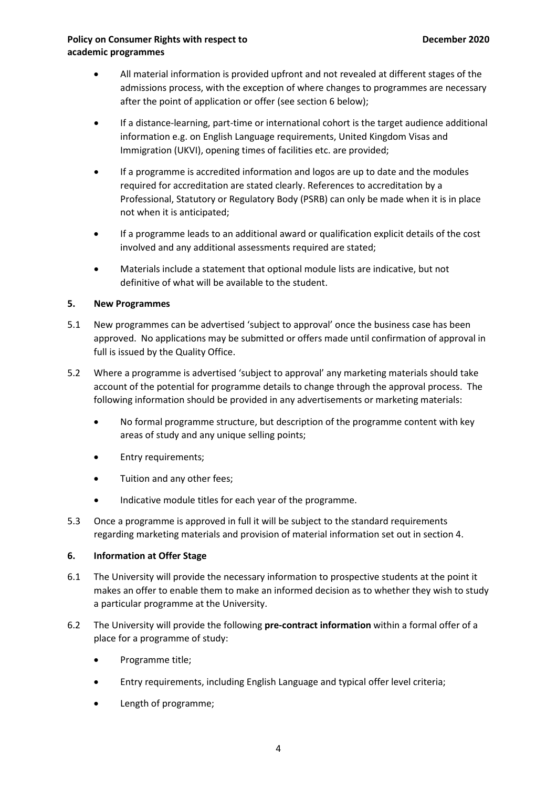- All material information is provided upfront and not revealed at different stages of the admissions process, with the exception of where changes to programmes are necessary after the point of application or offer (see section 6 below);
- If a distance-learning, part-time or international cohort is the target audience additional information e.g. on English Language requirements, United Kingdom Visas and Immigration (UKVI), opening times of facilities etc. are provided;
- If a programme is accredited information and logos are up to date and the modules required for accreditation are stated clearly. References to accreditation by a Professional, Statutory or Regulatory Body (PSRB) can only be made when it is in place not when it is anticipated;
- If a programme leads to an additional award or qualification explicit details of the cost involved and any additional assessments required are stated;
- Materials include a statement that optional module lists are indicative, but not definitive of what will be available to the student.

# **5. New Programmes**

- 5.1 New programmes can be advertised 'subject to approval' once the business case has been approved. No applications may be submitted or offers made until confirmation of approval in full is issued by the Quality Office.
- 5.2 Where a programme is advertised 'subject to approval' any marketing materials should take account of the potential for programme details to change through the approval process. The following information should be provided in any advertisements or marketing materials:
	- No formal programme structure, but description of the programme content with key areas of study and any unique selling points;
	- Entry requirements;
	- Tuition and any other fees;
	- Indicative module titles for each year of the programme.
- 5.3 Once a programme is approved in full it will be subject to the standard requirements regarding marketing materials and provision of material information set out in section 4.

#### **6. Information at Offer Stage**

- 6.1 The University will provide the necessary information to prospective students at the point it makes an offer to enable them to make an informed decision as to whether they wish to study a particular programme at the University.
- 6.2 The University will provide the following **pre-contract information** within a formal offer of a place for a programme of study:
	- Programme title;
	- Entry requirements, including English Language and typical offer level criteria;
	- Length of programme;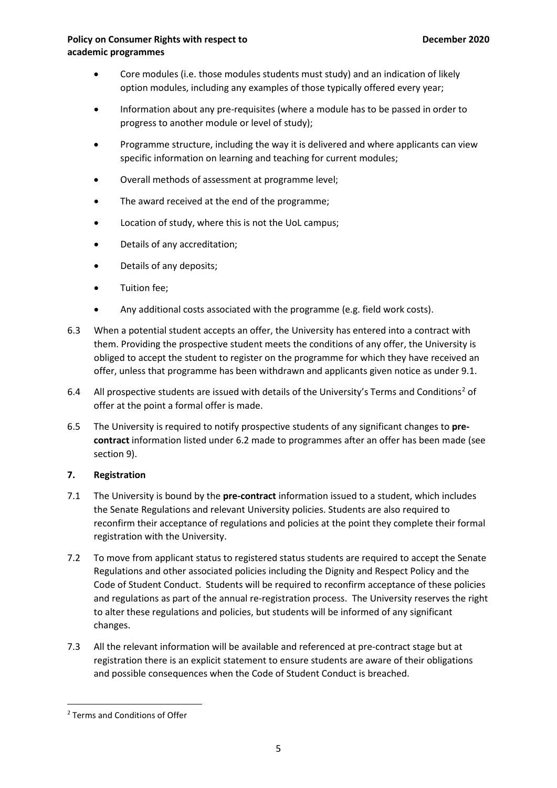- Core modules (i.e. those modules students must study) and an indication of likely option modules, including any examples of those typically offered every year;
- Information about any pre-requisites (where a module has to be passed in order to progress to another module or level of study);
- Programme structure, including the way it is delivered and where applicants can view specific information on learning and teaching for current modules;
- Overall methods of assessment at programme level;
- The award received at the end of the programme;
- Location of study, where this is not the UoL campus;
- Details of any accreditation;
- Details of any deposits;
- Tuition fee;
- Any additional costs associated with the programme (e.g. field work costs).
- 6.3 When a potential student accepts an offer, the University has entered into a contract with them. Providing the prospective student meets the conditions of any offer, the University is obliged to accept the student to register on the programme for which they have received an offer, unless that programme has been withdrawn and applicants given notice as under 9.1.
- 6.4 All prospective students are issued with details of the University's Terms and Conditions<sup>[2](#page-4-0)</sup> of offer at the point a formal offer is made.
- 6.5 The University is required to notify prospective students of any significant changes to **precontract** information listed under 6.2 made to programmes after an offer has been made (see section 9).

# **7. Registration**

- 7.1 The University is bound by the **pre-contract** information issued to a student, which includes the Senate Regulations and relevant University policies. Students are also required to reconfirm their acceptance of regulations and policies at the point they complete their formal registration with the University.
- 7.2 To move from applicant status to registered status students are required to accept the Senate Regulations and other associated policies including the Dignity and Respect Policy and the Code of Student Conduct. Students will be required to reconfirm acceptance of these policies and regulations as part of the annual re-registration process. The University reserves the right to alter these regulations and policies, but students will be informed of any significant changes.
- 7.3 All the relevant information will be available and referenced at pre-contract stage but at registration there is an explicit statement to ensure students are aware of their obligations and possible consequences when the Code of Student Conduct is breached.

<span id="page-4-0"></span> <sup>2</sup> Terms and Conditions of Offer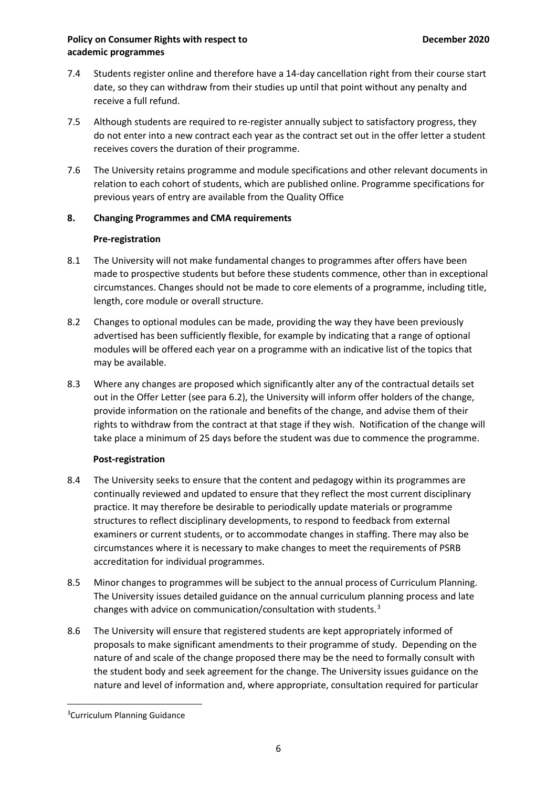- 7.4 Students register online and therefore have a 14-day cancellation right from their course start date, so they can withdraw from their studies up until that point without any penalty and receive a full refund.
- 7.5 Although students are required to re-register annually subject to satisfactory progress, they do not enter into a new contract each year as the contract set out in the offer letter a student receives covers the duration of their programme.
- 7.6 The University retains programme and module specifications and other relevant documents in relation to each cohort of students, which are published online. Programme specifications for previous years of entry are available from the Quality Office

# **8. Changing Programmes and CMA requirements**

# **Pre-registration**

- 8.1 The University will not make fundamental changes to programmes after offers have been made to prospective students but before these students commence, other than in exceptional circumstances. Changes should not be made to core elements of a programme, including title, length, core module or overall structure.
- 8.2 Changes to optional modules can be made, providing the way they have been previously advertised has been sufficiently flexible, for example by indicating that a range of optional modules will be offered each year on a programme with an indicative list of the topics that may be available.
- 8.3 Where any changes are proposed which significantly alter any of the contractual details set out in the Offer Letter (see para 6.2), the University will inform offer holders of the change, provide information on the rationale and benefits of the change, and advise them of their rights to withdraw from the contract at that stage if they wish. Notification of the change will take place a minimum of 25 days before the student was due to commence the programme.

# **Post-registration**

- 8.4 The University seeks to ensure that the content and pedagogy within its programmes are continually reviewed and updated to ensure that they reflect the most current disciplinary practice. It may therefore be desirable to periodically update materials or programme structures to reflect disciplinary developments, to respond to feedback from external examiners or current students, or to accommodate changes in staffing. There may also be circumstances where it is necessary to make changes to meet the requirements of PSRB accreditation for individual programmes.
- 8.5 Minor changes to programmes will be subject to the annual process of Curriculum Planning. The University issues detailed guidance on the annual curriculum planning process and late changes with advice on communication/consultation with students.[3](#page-5-0)
- 8.6 The University will ensure that registered students are kept appropriately informed of proposals to make significant amendments to their programme of study. Depending on the nature of and scale of the change proposed there may be the need to formally consult with the student body and seek agreement for the change. The University issues guidance on the nature and level of information and, where appropriate, consultation required for particular

<span id="page-5-0"></span> $\frac{1}{3}$ <sup>3</sup>Curriculum Planning Guidance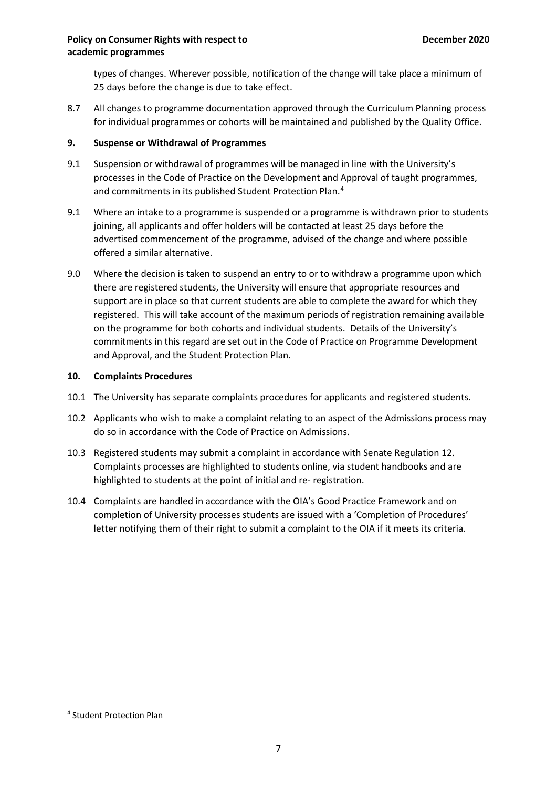types of changes. Wherever possible, notification of the change will take place a minimum of 25 days before the change is due to take effect.

8.7 All changes to programme documentation approved through the Curriculum Planning process for individual programmes or cohorts will be maintained and published by the Quality Office.

# **9. Suspense or Withdrawal of Programmes**

- 9.1 Suspension or withdrawal of programmes will be managed in line with the University's processes in the Code of Practice on the Development and Approval of taught programmes, and commitments in its published Student Protection Plan.[4](#page-6-0)
- 9.1 Where an intake to a programme is suspended or a programme is withdrawn prior to students joining, all applicants and offer holders will be contacted at least 25 days before the advertised commencement of the programme, advised of the change and where possible offered a similar alternative.
- 9.0 Where the decision is taken to suspend an entry to or to withdraw a programme upon which there are registered students, the University will ensure that appropriate resources and support are in place so that current students are able to complete the award for which they registered. This will take account of the maximum periods of registration remaining available on the programme for both cohorts and individual students. Details of the University's commitments in this regard are set out in the Code of Practice on Programme Development and Approval, and the Student Protection Plan.

# **10. Complaints Procedures**

- 10.1 The University has separate complaints procedures for applicants and registered students.
- 10.2 Applicants who wish to make a complaint relating to an aspect of the Admissions process may do so in accordance with the Code of Practice on Admissions.
- 10.3 Registered students may submit a complaint in accordance with Senate Regulation 12. Complaints processes are highlighted to students online, via student handbooks and are highlighted to students at the point of initial and re- registration.
- 10.4 Complaints are handled in accordance with the OIA's Good Practice Framework and on completion of University processes students are issued with a 'Completion of Procedures' letter notifying them of their right to submit a complaint to the OIA if it meets its criteria.

<span id="page-6-0"></span> <sup>4</sup> Student Protection Plan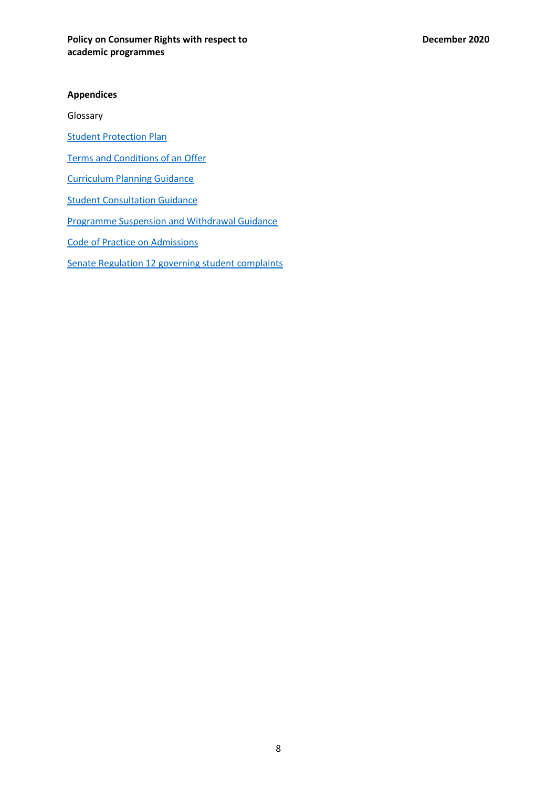#### **Appendices**

Glossary

**[Student Protection Plan](https://le.ac.uk/study/how-to-apply/student-protection-plan)** 

[Terms and Conditions](https://le.ac.uk/study/how-to-apply/ts-and-cs) of an Offer

[Curriculum Planning Guidance](https://www2.le.ac.uk/offices/sas2/courses/curriculum-change-process-for-2019-20/supporting-material)

[Student Consultation Guidance](https://www2.le.ac.uk/offices/sas2/courses/curriculum-change-process-for-2019-20/student-consultation)

[Programme Suspension and Withdrawal Guidance](https://www2.le.ac.uk/offices/sas2/courses/suspending-or-withdrawing-courses)

[Code of Practice on Admissions](https://www2.le.ac.uk/offices/sas2/quality/codes/admissions)

[Senate Regulation 12 governing student complaints](https://www2.le.ac.uk/offices/sas2/regulations/senate-regulations)